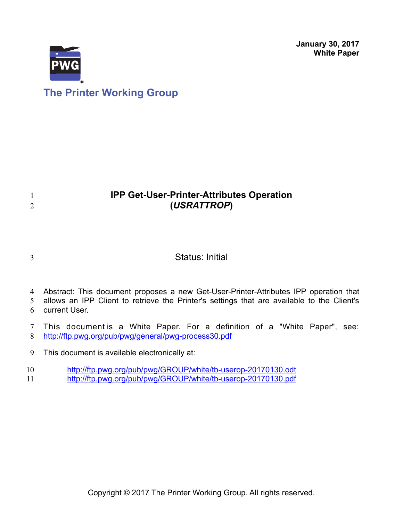**January 30, 2017 White Paper**



# **IPP Get-User-Printer-Attributes Operation (***USRATTROP***)**

3

1 2

## Status: Initial

4 Abstract: This document proposes a new Get-User-Printer-Attributes IPP operation that

allows an IPP Client to retrieve the Printer's settings that are available to the Client's current User. 5 6

This document is a White Paper. For a definition of a "White Paper", see: <http://ftp.pwg.org/pub/pwg/general/pwg-process30.pdf> 7 8

This document is available electronically at: 9

<http://ftp.pwg.org/pub/pwg/GROUP/white/tb-userop-20170130.odt> 10

<http://ftp.pwg.org/pub/pwg/GROUP/white/tb-userop-20170130.pdf> 11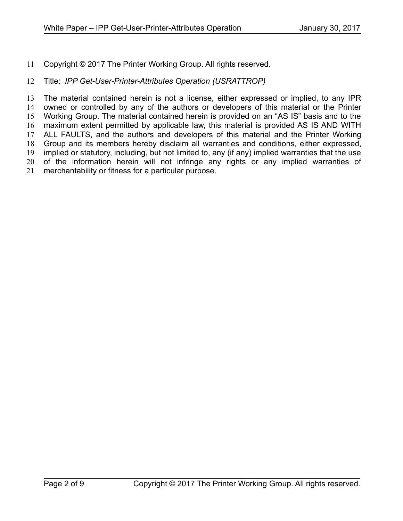Copyright © 2017 The Printer Working Group. All rights reserved. 11

#### Title: *IPP Get-User-Printer-Attributes Operation (USRATTROP)* 12

The material contained herein is not a license, either expressed or implied, to any IPR owned or controlled by any of the authors or developers of this material or the Printer Working Group. The material contained herein is provided on an "AS IS" basis and to the maximum extent permitted by applicable law, this material is provided AS IS AND WITH ALL FAULTS, and the authors and developers of this material and the Printer Working Group and its members hereby disclaim all warranties and conditions, either expressed, implied or statutory, including, but not limited to, any (if any) implied warranties that the use of the information herein will not infringe any rights or any implied warranties of merchantability or fitness for a particular purpose. 13 14 15 16 17 18 19 20 21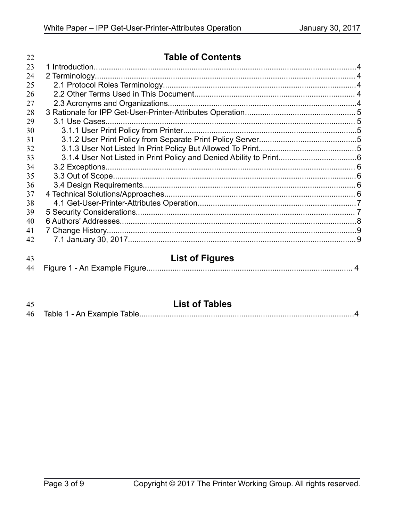| 22 | <b>Table of Contents</b> |  |
|----|--------------------------|--|
| 23 |                          |  |
| 24 |                          |  |
| 25 |                          |  |
| 26 |                          |  |
| 27 |                          |  |
| 28 |                          |  |
| 29 |                          |  |
| 30 |                          |  |
| 31 |                          |  |
| 32 |                          |  |
| 33 |                          |  |
| 34 |                          |  |
| 35 |                          |  |
| 36 |                          |  |
| 37 |                          |  |
| 38 |                          |  |
| 39 |                          |  |
| 40 |                          |  |
| 41 |                          |  |
| 42 |                          |  |
| 43 | <b>List of Figures</b>   |  |
| 44 |                          |  |

| 45 | <b>List of Tables</b> |
|----|-----------------------|
|    |                       |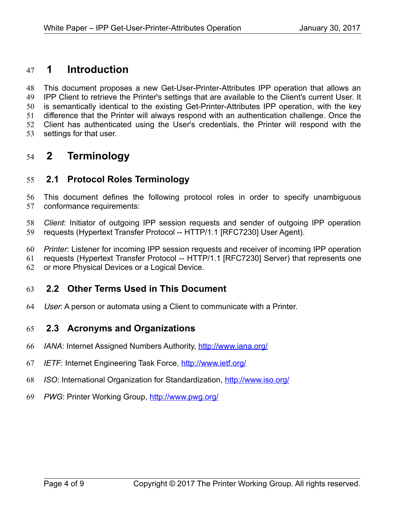### **1 Introduction** 47

This document proposes a new Get-User-Printer-Attributes IPP operation that allows an IPP Client to retrieve the Printer's settings that are available to the Client's current User. It is semantically identical to the existing Get-Printer-Attributes IPP operation, with the key difference that the Printer will always respond with an authentication challenge. Once the Client has authenticated using the User's credentials, the Printer will respond with the settings for that user. 48 49 50 51 52 53

## **2 Terminology** 54

#### **2.1 Protocol Roles Terminology** 55

This document defines the following protocol roles in order to specify unambiguous conformance requirements: 56 57

*Client*: Initiator of outgoing IPP session requests and sender of outgoing IPP operation requests (Hypertext Transfer Protocol -- HTTP/1.1 [\[RFC7230\]](#page-7-0) User Agent). 58 59

*Printer*: Listener for incoming IPP session requests and receiver of incoming IPP operation 60

requests (Hypertext Transfer Protocol -- HTTP/1.1 [\[RFC7230\]](#page-7-0) Server) that represents one 61

or more Physical Devices or a Logical Device. 62

#### **2.2 Other Terms Used in This Document** 63

User: A person or automata using a Client to communicate with a Printer. 64

#### **2.3 Acronyms and Organizations** 65

- *IANA*: Internet Assigned Numbers Authority,<http://www.iana.org/> 66
- *IETF*: Internet Engineering Task Force,<http://www.ietf.org/> 67
- *ISO*: International Organization for Standardization,<http://www.iso.org/> 68
- PWG: Printer Working Group,<http://www.pwg.org/> 69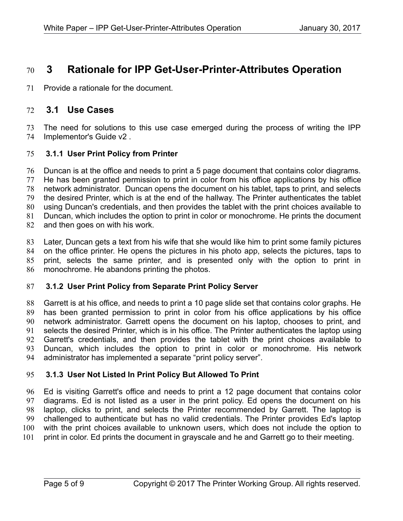## **3 Rationale for IPP Get-User-Printer-Attributes Operation** 70

Provide a rationale for the document. 71

#### <span id="page-4-0"></span> **3.1 Use Cases** 72

The need for solutions to this use case emerged during the process of writing the IPP Implementor's Guide v2 . 73 74

#### **3.1.1 User Print Policy from Printer** 75

Duncan is at the office and needs to print a 5 page document that contains color diagrams. He has been granted permission to print in color from his office applications by his office network administrator. Duncan opens the document on his tablet, taps to print, and selects the desired Printer, which is at the end of the hallway. The Printer authenticates the tablet using Duncan's credentials, and then provides the tablet with the print choices available to Duncan, which includes the option to print in color or monochrome. He prints the document and then goes on with his work. 76 77 78 79 80 81 82

Later, Duncan gets a text from his wife that she would like him to print some family pictures on the office printer. He opens the pictures in his photo app, selects the pictures, taps to print, selects the same printer, and is presented only with the option to print in monochrome. He abandons printing the photos. 83 84 85 86

#### **3.1.2 User Print Policy from Separate Print Policy Server** 87

Garrett is at his office, and needs to print a 10 page slide set that contains color graphs. He has been granted permission to print in color from his office applications by his office network administrator. Garrett opens the document on his laptop, chooses to print, and selects the desired Printer, which is in his office. The Printer authenticates the laptop using Garrett's credentials, and then provides the tablet with the print choices available to Duncan, which includes the option to print in color or monochrome. His network administrator has implemented a separate "print policy server". 88 89 90 91 92 93 94

#### **3.1.3 User Not Listed In Print Policy But Allowed To Print** 95

Ed is visiting Garrett's office and needs to print a 12 page document that contains color diagrams. Ed is not listed as a user in the print policy. Ed opens the document on his laptop, clicks to print, and selects the Printer recommended by Garrett. The laptop is challenged to authenticate but has no valid credentials. The Printer provides Ed's laptop with the print choices available to unknown users, which does not include the option to print in color. Ed prints the document in grayscale and he and Garrett go to their meeting. 96 97 98 99 100 101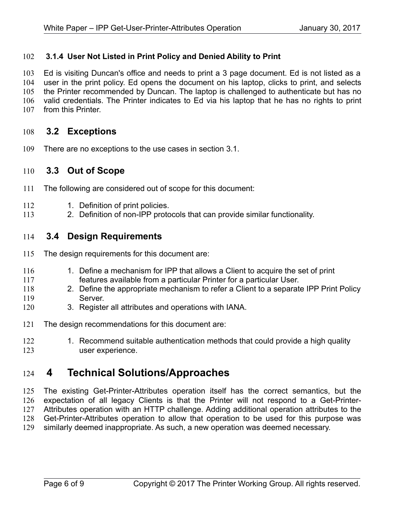#### **3.1.4 User Not Listed in Print Policy and Denied Ability to Print** 102

Ed is visiting Duncan's office and needs to print a 3 page document. Ed is not listed as a user in the print policy. Ed opens the document on his laptop, clicks to print, and selects the Printer recommended by Duncan. The laptop is challenged to authenticate but has no valid credentials. The Printer indicates to Ed via his laptop that he has no rights to print from this Printer. 103 104 105 106 107

#### **3.2 Exceptions** 108

There are no exceptions to the use cases in section [3.1.](#page-4-0) 109

#### **3.3 Out of Scope** 110

- The following are considered out of scope for this document: 111
- 1. Definition of print policies. 112
- 2. Definition of non-IPP protocols that can provide similar functionality. 113

#### **3.4 Design Requirements** 114

- The design requirements for this document are: 115
- 1. Define a mechanism for IPP that allows a Client to acquire the set of print features available from a particular Printer for a particular User. 116 117
- 2. Define the appropriate mechanism to refer a Client to a separate IPP Print Policy Server. 118 119
- 3. Register all attributes and operations with IANA. 120
- The design recommendations for this document are: 121
- 1. Recommend suitable authentication methods that could provide a high quality user experience. 122 123

## **4 Technical Solutions/Approaches** 124

The existing Get-Printer-Attributes operation itself has the correct semantics, but the expectation of all legacy Clients is that the Printer will not respond to a Get-Printer-Attributes operation with an HTTP challenge. Adding additional operation attributes to the Get-Printer-Attributes operation to allow that operation to be used for this purpose was similarly deemed inappropriate. As such, a new operation was deemed necessary. 125 126 127 128 129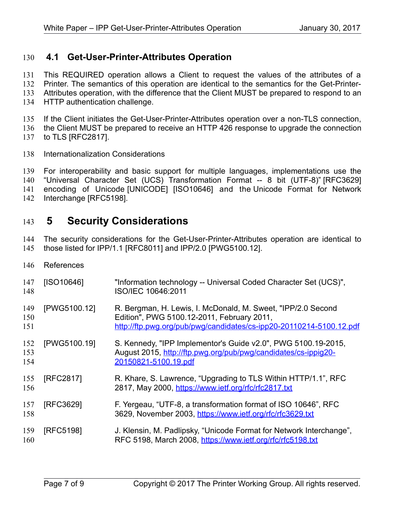#### **4.1 Get-User-Printer-Attributes Operation** 130

This REQUIRED operation allows a Client to request the values of the attributes of a 131

Printer. The semantics of this operation are identical to the semantics for the Get-Printer-132

Attributes operation, with the difference that the Client MUST be prepared to respond to an 133

HTTP authentication challenge. 134

If the Client initiates the Get-User-Printer-Attributes operation over a non-TLS connection, 135

the Client MUST be prepared to receive an HTTP 426 response to upgrade the connection 136

- to TLS [\[RFC2817\].](#page-6-4) 137
- Internationalization Considerations 138

For interoperability and basic support for multiple languages, implementations use the "Universal Character Set (UCS) Transformation Format -- 8 bit (UTF-8)" [\[RFC3629\]](#page-6-2) encoding of Unicode [\[UNICODE\]](#page-7-1) [\[ISO10646\]](#page-6-1) and the Unicode Format for Network Interchange [\[RFC5198\].](#page-6-0) 139 140 141 142

## **5 Security Considerations** 143

The security considerations for the Get-User-Printer-Attributes operation are identical to those listed for IPP/1.1 [\[RFC8011\]](#page-7-2) and IPP/2.0 [\[PWG5100.12\].](#page-6-3) 144 145

References 146

<span id="page-6-4"></span><span id="page-6-3"></span><span id="page-6-2"></span><span id="page-6-1"></span><span id="page-6-0"></span>

| 147<br>148        | [ISO10646]   | "Information technology -- Universal Coded Character Set (UCS)",<br>ISO/IEC 10646:2011                                                                                            |
|-------------------|--------------|-----------------------------------------------------------------------------------------------------------------------------------------------------------------------------------|
| 149<br>150<br>151 | [PWG5100.12] | R. Bergman, H. Lewis, I. McDonald, M. Sweet, "IPP/2.0 Second<br>Edition", PWG 5100.12-2011, February 2011,<br>http://ftp.pwg.org/pub/pwg/candidates/cs-ipp20-20110214-5100.12.pdf |
| 152<br>153<br>154 | [PWG5100.19] | S. Kennedy, "IPP Implementor's Guide v2.0", PWG 5100.19-2015,<br>August 2015, http://ftp.pwg.org/pub/pwg/candidates/cs-ippig20-<br>20150821-5100.19.pdf                           |
| 155<br>156        | [RFC2817]    | R. Khare, S. Lawrence, "Upgrading to TLS Within HTTP/1.1", RFC<br>2817, May 2000, https://www.ietf.org/rfc/rfc2817.txt                                                            |
| 157<br>158        | [RFC3629]    | F. Yergeau, "UTF-8, a transformation format of ISO 10646", RFC<br>3629, November 2003, https://www.ietf.org/rfc/rfc3629.txt                                                       |
| 159<br>160        | [RFC5198]    | J. Klensin, M. Padlipsky, "Unicode Format for Network Interchange",<br>RFC 5198, March 2008, https://www.ietf.org/rfc/rfc5198.txt                                                 |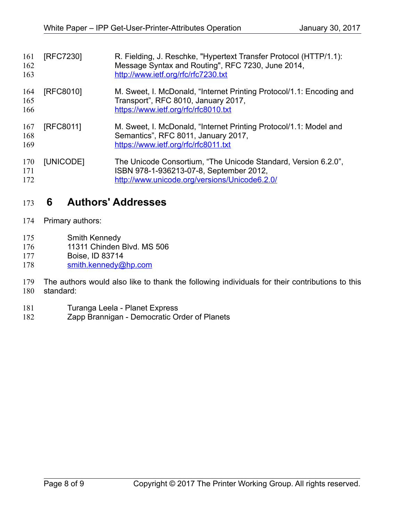<span id="page-7-2"></span><span id="page-7-0"></span>

| 161<br>162<br>163 | [RFC7230] | R. Fielding, J. Reschke, "Hypertext Transfer Protocol (HTTP/1.1):<br>Message Syntax and Routing", RFC 7230, June 2014,<br>http://www.ietf.org/rfc/rfc7230.txt |
|-------------------|-----------|---------------------------------------------------------------------------------------------------------------------------------------------------------------|
| 164<br>165<br>166 | [RFC8010] | M. Sweet, I. McDonald, "Internet Printing Protocol/1.1: Encoding and<br>Transport", RFC 8010, January 2017,<br>https://www.ietf.org/rfc/rfc8010.txt           |
| 167<br>168<br>169 | [RFC8011] | M. Sweet, I. McDonald, "Internet Printing Protocol/1.1: Model and<br>Semantics", RFC 8011, January 2017,<br>https://www.ietf.org/rfc/rfc8011.txt              |
| 170<br>171<br>172 | [UNICODE] | The Unicode Consortium, "The Unicode Standard, Version 6.2.0",<br>ISBN 978-1-936213-07-8, September 2012,<br>http://www.unicode.org/versions/Unicode6.2.0/    |

## <span id="page-7-1"></span> **6 Authors' Addresses** 173

- Primary authors: 174
- Smith Kennedy 175
- 11311 Chinden Blvd. MS 506 176
- Boise, ID 83714 177
- [smith.kennedy@hp.com](mailto:smith.kennedy@hp.com) 178
- The authors would also like to thank the following individuals for their contributions to this standard: 179 180
- Turanga Leela Planet Express 181
- Zapp Brannigan Democratic Order of Planets 182